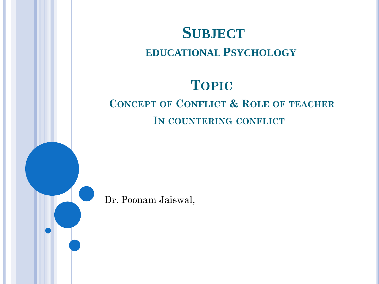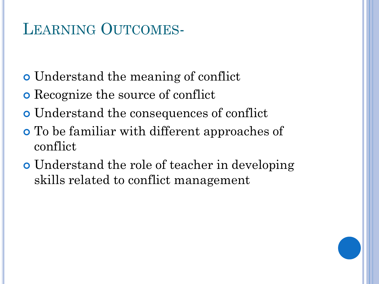## LEARNING OUTCOMES-

- Understand the meaning of conflict
- Recognize the source of conflict
- Understand the consequences of conflict
- To be familiar with different approaches of conflict
- Understand the role of teacher in developing skills related to conflict management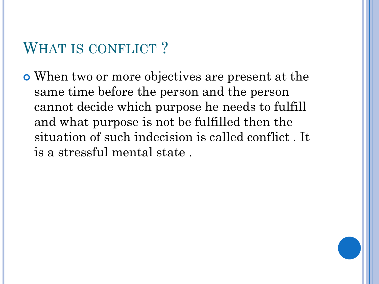### WHAT IS CONFLICT?

 When two or more objectives are present at the same time before the person and the person cannot decide which purpose he needs to fulfill and what purpose is not be fulfilled then the situation of such indecision is called conflict . It is a stressful mental state .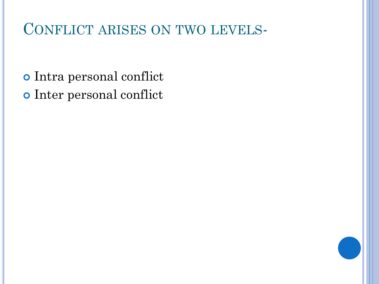## CONFLICT ARISES ON TWO LEVELS-

 Intra personal conflict Inter personal conflict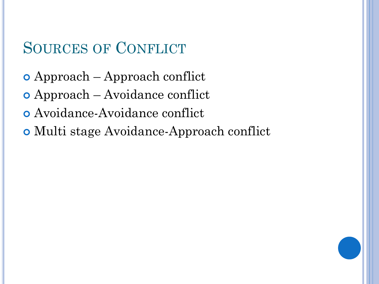## SOURCES OF CONFLICT

- Approach Approach conflict
- Approach Avoidance conflict
- Avoidance-Avoidance conflict
- Multi stage Avoidance-Approach conflict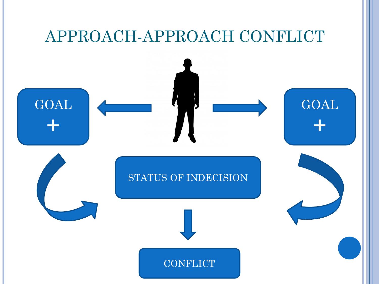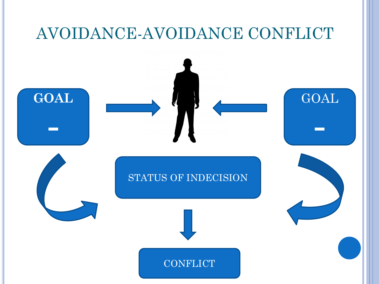# AVOIDANCE-AVOIDANCE CONFLICT **GOAL -** STATUS OF INDECISION GOAL **- CONFLICT**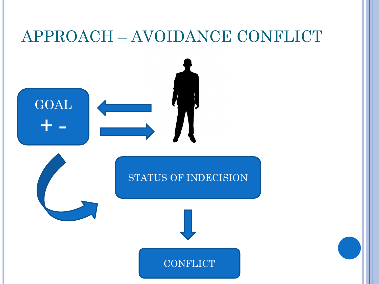# APPROACH – AVOIDANCE CONFLICT

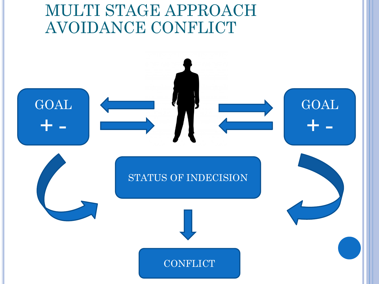## MULTI STAGE APPROACH AVOIDANCE CONFLICT

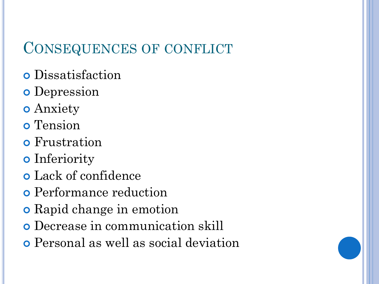#### CONSEQUENCES OF CONFLICT

- Dissatisfaction
- **o** Depression
- Anxiety
- o Tension
- **o** Frustration
- **o** Inferiority
- Lack of confidence
- Performance reduction
- **o** Rapid change in emotion
- Decrease in communication skill
- Personal as well as social deviation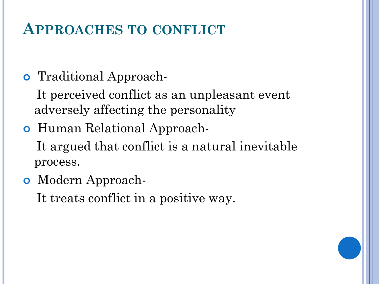### **APPROACHES TO CONFLICT**

#### Traditional Approach-

 It perceived conflict as an unpleasant event adversely affecting the personality

#### Human Relational Approach-

 It argued that conflict is a natural inevitable process.

Modern Approach-

It treats conflict in a positive way.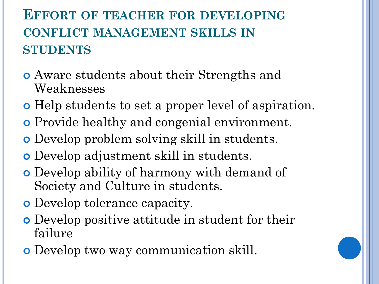### **EFFORT OF TEACHER FOR DEVELOPING CONFLICT MANAGEMENT SKILLS IN STUDENTS**

- Aware students about their Strengths and Weaknesses
- Help students to set a proper level of aspiration.
- Provide healthy and congenial environment.
- Develop problem solving skill in students.
- Develop adjustment skill in students.
- Develop ability of harmony with demand of Society and Culture in students.
- Develop tolerance capacity.
- Develop positive attitude in student for their failure
- Develop two way communication skill.